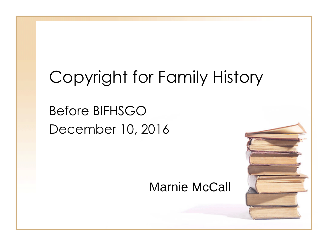## Copyright for Family History

### Before BIFHSGO December 10, 2016

#### Marnie McCall

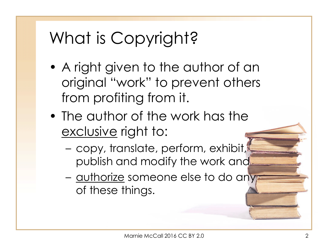## What is Copyright?

- A right given to the author of an original "work" to prevent others from profiting from it.
- The author of the work has the exclusive right to:
	- copy, translate, perform, exhibit, publish and modify the work and
	- authorize someone else to do any of these things.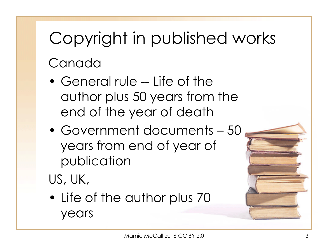# Copyright in published works Canada

- General rule -- Life of the author plus 50 years from the end of the year of death
- Government documents 50 years from end of year of publication
- US, UK,
- Life of the author plus 70 years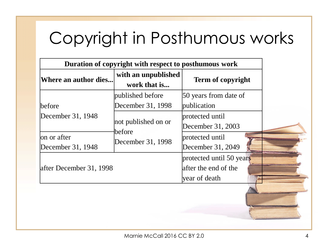## Copyright in Posthumous works

| Duration of copyright with respect to posthumous work |                                       |                                                                   |  |
|-------------------------------------------------------|---------------------------------------|-------------------------------------------------------------------|--|
| Where an author dies                                  | with an unpublished<br>work that is   | <b>Term of copyright</b>                                          |  |
| before                                                | published before<br>December 31, 1998 | 50 years from date of<br>publication                              |  |
| December 31, 1948                                     | not published on or                   | protected until<br>December 31, 2003                              |  |
| on or after<br>December 31, 1948                      | before<br>December 31, 1998           | protected until<br>December 31, 2049                              |  |
| after December 31, 1998                               |                                       | protected until 50 years<br>after the end of the<br>year of death |  |
|                                                       |                                       |                                                                   |  |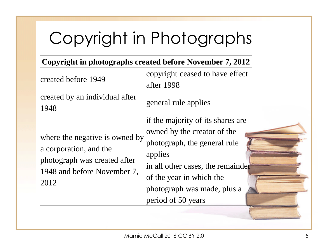# Copyright in Photographs

|                                                                                                                                 | Copyright in photographs created before November 7, 2012                                                                                                                                                                                 |  |
|---------------------------------------------------------------------------------------------------------------------------------|------------------------------------------------------------------------------------------------------------------------------------------------------------------------------------------------------------------------------------------|--|
| created before 1949                                                                                                             | copyright ceased to have effect<br>lafter 1998                                                                                                                                                                                           |  |
| created by an individual after<br>1948                                                                                          | general rule applies                                                                                                                                                                                                                     |  |
| where the negative is owned by<br>a corporation, and the<br>photograph was created after<br>1948 and before November 7,<br>2012 | if the majority of its shares are<br>owned by the creator of the<br>photograph, the general rule<br><i>applies</i><br>in all other cases, the remainder<br>of the year in which the<br>photograph was made, plus a<br>period of 50 years |  |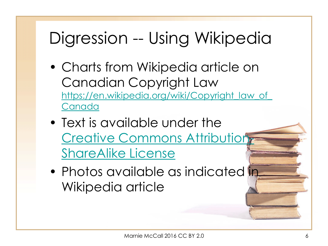## Digression -- Using Wikipedia

- Charts from Wikipedia article on Canadian Copyright Law [https://en.wikipedia.org/wiki/Copyright\\_law\\_of\\_](https://en.wikipedia.org/wiki/Copyright_law_of_Canada) Canada
- Text is available under the Creative Commons Attribution ShareAlike License
- Photos available as indicated in Wikipedia article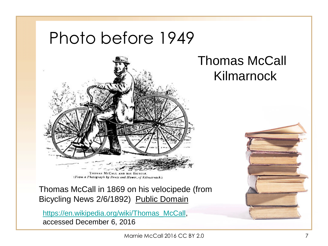## Photo before 1949



THOMAS MCCALL AND HIS BICYCLE (From a Photograph by Bruce and Howie, of Kilmarnock.)

Thomas McCall in 1869 on his velocipede (from Bicycling News 2/6/1892) Public Domain

[https://en.wikipedia.org/wiki/Thomas\\_McCall,](https://en.wikipedia.org/wiki/Thomas_McCall) accessed December 6, 2016

Kilmarnock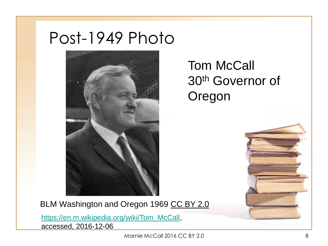### Post-1949 Photo



#### Tom McCall 30th Governor of Oregon

BLM Washington and Oregon 1969 CC BY 2.0

[https://en.m.wikipedia.org/wiki/Tom\\_McCall](https://en.m.wikipedia.org/wiki/Tom_McCall), accessed, 2016-12-06.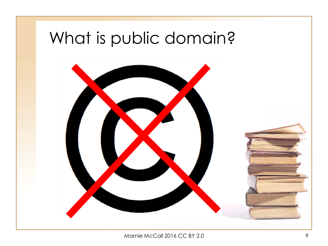## What is public domain?

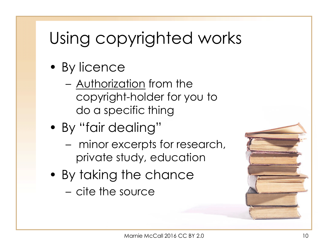## Using copyrighted works

- By licence
	- Authorization from the copyright-holder for you to do a specific thing
- By "fair dealing"
	- minor excerpts for research, private study, education
- By taking the chance
	- cite the source

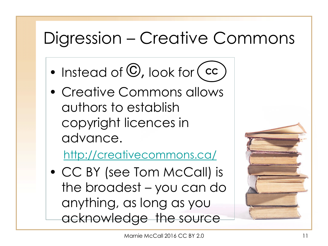## Digression – Creative Commons

- Instead of  $\mathbb{O}$ , look for **CC**
- Creative Commons allows authors to establish copyright licences in advance.

<http://creativecommons.ca/>

• CC BY (see Tom McCall) is the broadest – you can do anything, as long as you acknowledge the source